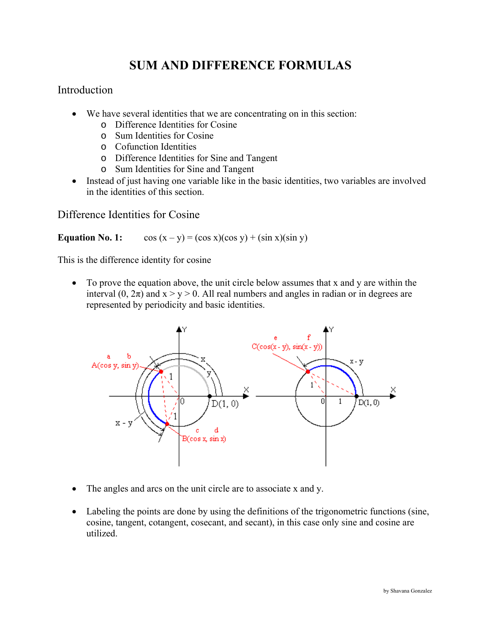# **SUM AND DIFFERENCE FORMULAS**

## Introduction

- We have several identities that we are concentrating on in this section:
	- o Difference Identities for Cosine
	- o Sum Identities for Cosine
	- o Cofunction Identities
	- o Difference Identities for Sine and Tangent
	- o Sum Identities for Sine and Tangent
- Instead of just having one variable like in the basic identities, two variables are involved in the identities of this section.

## Difference Identities for Cosine

#### **Equation No. 1:**  $\cos(x-y) = (\cos x)(\cos y) + (\sin x)(\sin y)$

This is the difference identity for cosine

• To prove the equation above, the unit circle below assumes that x and y are within the interval (0,  $2\pi$ ) and  $x > y > 0$ . All real numbers and angles in radian or in degrees are represented by periodicity and basic identities.



- The angles and arcs on the unit circle are to associate x and y.
- Labeling the points are done by using the definitions of the trigonometric functions (sine, cosine, tangent, cotangent, cosecant, and secant), in this case only sine and cosine are utilized.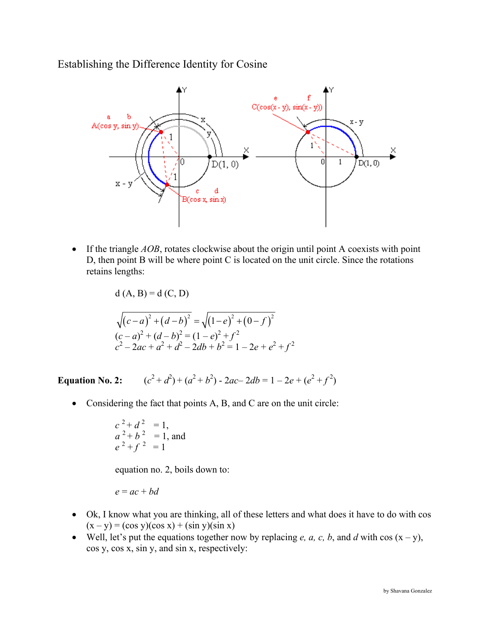Establishing the Difference Identity for Cosine



• If the triangle *AOB*, rotates clockwise about the origin until point A coexists with point D, then point B will be where point C is located on the unit circle. Since the rotations retains lengths:

d (A, B) = d (C, D)  
\n
$$
\sqrt{(c-a)^2 + (d-b)^2} = \sqrt{(1-e)^2 + (0-f)^2}
$$
\n
$$
(c-a)^2 + (d-b)^2 = (1-e)^2 + f^2
$$
\n
$$
c^2 - 2ac + a^2 + d^2 - 2db + b^2 = 1 - 2e + e^2 + f^2
$$

**Equation No. 2:**  $(2^2 + d^2) + (a^2 + b^2) - 2ac - 2db = 1 - 2e + (e^2 + f^2)$ 

• Considering the fact that points A, B, and C are on the unit circle:

$$
c^{2}+d^{2} = 1
$$
,  
\n $a^{2}+b^{2} = 1$ , and  
\n $e^{2}+f^{2} = 1$ 

equation no. 2, boils down to:

$$
e = ac + bd
$$

- Ok, I know what you are thinking, all of these letters and what does it have to do with cos  $(x - y) = (\cos y)(\cos x) + (\sin y)(\sin x)$
- Well, let's put the equations together now by replacing *e*, *a*, *c*, *b*, and *d* with cos  $(x y)$ , cos y, cos x, sin y, and sin x, respectively: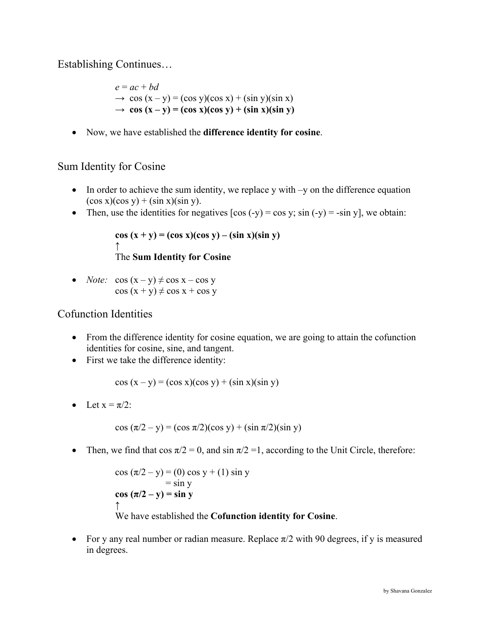Establishing Continues…

 $e = ac + bd$  $\rightarrow$  cos  $(x - y) = (\cos y)(\cos x) + (\sin y)(\sin x)$  $\rightarrow$  **cos**  $(x - y) = (\cos x)(\cos y) + (\sin x)(\sin y)$ 

• Now, we have established the **difference identity for cosine**.

# Sum Identity for Cosine

- In order to achieve the sum identity, we replace y with –y on the difference equation  $(\cos x)(\cos y) + (\sin x)(\sin y)$ .
- Then, use the identities for negatives  $[\cos(-y) = \cos y; \sin(-y) = -\sin y]$ , we obtain:

```
\cos(x + y) = (\cos x)(\cos y) - (\sin x)(\sin y)↑
 The Sum Identity for Cosine
```
• *Note:*  $\cos(x - y) \neq \cos x - \cos y$  $\cos(x + y) \neq \cos x + \cos y$ 

# Cofunction Identities

- From the difference identity for cosine equation, we are going to attain the cofunction identities for cosine, sine, and tangent.
- First we take the difference identity:

 $\cos(x - y) = (\cos x)(\cos y) + (\sin x)(\sin y)$ 

• Let  $x = \pi/2$ :

$$
\cos (\pi/2 - y) = (\cos \pi/2)(\cos y) + (\sin \pi/2)(\sin y)
$$

• Then, we find that  $\cos \pi/2 = 0$ , and  $\sin \pi/2 = 1$ , according to the Unit Circle, therefore:

$$
\cos (\pi/2 - y) = (0) \cos y + (1) \sin y
$$
  
= sin y  

$$
\cos (\pi/2 - y) = \sin y
$$
  
We have established the **Cofunction identity for Cosine**.

• For y any real number or radian measure. Replace  $\pi/2$  with 90 degrees, if y is measured in degrees.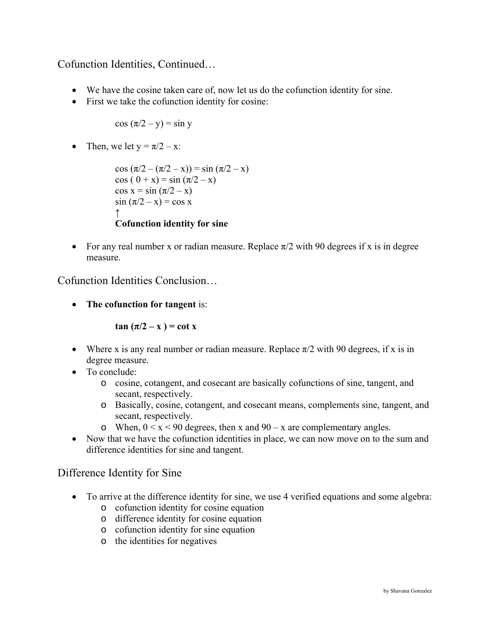Cofunction Identities, Continued…

- We have the cosine taken care of, now let us do the cofunction identity for sine.
- First we take the cofunction identity for cosine:

$$
\cos{(\pi/2 - y)} = \sin{y}
$$

• Then, we let  $y = \pi/2 - x$ :

```
cos (\pi/2 - (\pi/2 - x)) = \sin (\pi/2 - x)cos ( 0 + x) = sin (\pi/2 - x)
cos x = sin (\pi/2 - x)\sin (\pi/2 - x) = \cos x↑
Cofunction identity for sine
```
• For any real number x or radian measure. Replace  $\pi/2$  with 90 degrees if x is in degree measure.

Cofunction Identities Conclusion…

• **The cofunction for tangent** is:

 $\tan (\pi/2 - x) = \cot x$ 

- Where x is any real number or radian measure. Replace  $\pi/2$  with 90 degrees, if x is in degree measure.
- To conclude:
	- o cosine, cotangent, and cosecant are basically cofunctions of sine, tangent, and secant, respectively.
	- o Basically, cosine, cotangent, and cosecant means, complements sine, tangent, and secant, respectively.
	- o When,  $0 \le x \le 90$  degrees, then x and  $90 x$  are complementary angles.
- Now that we have the cofunction identities in place, we can now move on to the sum and difference identities for sine and tangent.

## Difference Identity for Sine

- To arrive at the difference identity for sine, we use 4 verified equations and some algebra:
	- o cofunction identity for cosine equation
	- o difference identity for cosine equation
	- o cofunction identity for sine equation
	- o the identities for negatives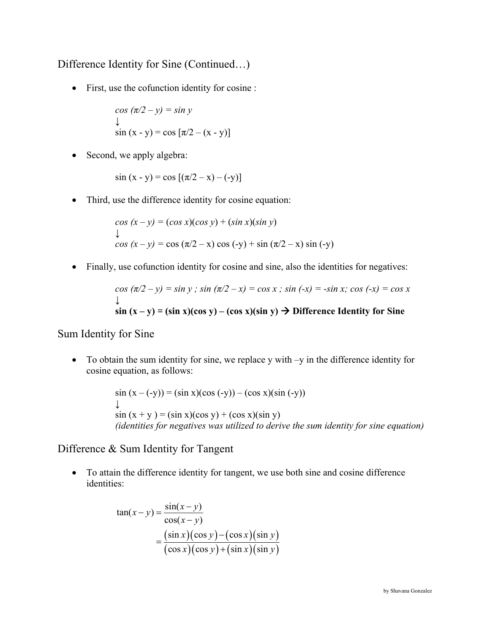Difference Identity for Sine (Continued…)

• First, use the cofunction identity for cosine :

$$
\cos (\pi/2 - y) = \sin y
$$
  

$$
\downarrow
$$
  

$$
\sin (x - y) = \cos [\pi/2 - (x - y)]
$$

• Second, we apply algebra:

$$
\sin (x - y) = \cos [( \pi/2 - x) - (-y) ]
$$

• Third, use the difference identity for cosine equation:

$$
\cos (x - y) = (\cos x)(\cos y) + (\sin x)(\sin y)
$$
  
\n
$$
\downarrow
$$
  
\n
$$
\cos (x - y) = \cos (\pi/2 - x) \cos (-y) + \sin (\pi/2 - x) \sin (-y)
$$

• Finally, use cofunction identity for cosine and sine, also the identities for negatives:

$$
\cos (\pi/2 - y) = \sin y ; \sin (\pi/2 - x) = \cos x ; \sin (-x) = -\sin x; \cos (-x) = \cos x
$$
  
\n
$$
\downarrow
$$
  
\n
$$
\sin (x - y) = (\sin x)(\cos y) - (\cos x)(\sin y) \implies \text{Difference Identity for Sine}
$$

Sum Identity for Sine

• To obtain the sum identity for sine, we replace y with –y in the difference identity for cosine equation, as follows:

$$
\sin (x - (-y)) = (\sin x)(\cos (-y)) - (\cos x)(\sin (-y))
$$
  
\n
$$
\downarrow
$$
  
\n
$$
\sin (x + y) = (\sin x)(\cos y) + (\cos x)(\sin y)
$$
  
\n*(identities for negatives was utilized to derive the sum identity for sine equation)*

Difference & Sum Identity for Tangent

• To attain the difference identity for tangent, we use both sine and cosine difference identities:

$$
\tan(x-y) = \frac{\sin(x-y)}{\cos(x-y)}
$$

$$
= \frac{(\sin x)(\cos y) - (\cos x)(\sin y)}{(\cos x)(\cos y) + (\sin x)(\sin y)}
$$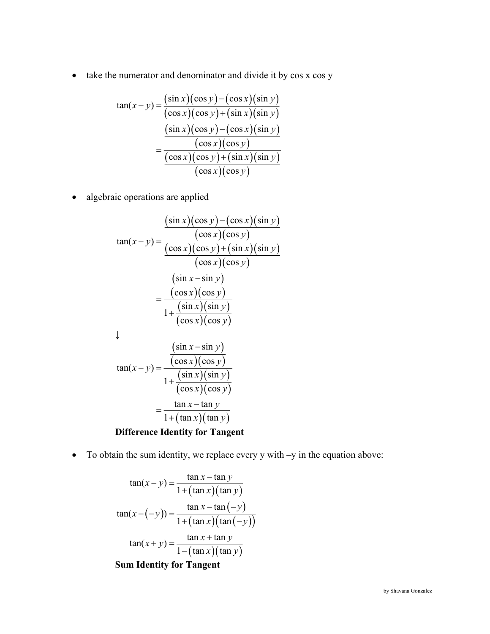• take the numerator and denominator and divide it by cos x cos y

$$
\tan(x-y) = \frac{(\sin x)(\cos y) - (\cos x)(\sin y)}{(\cos x)(\cos y) + (\sin x)(\sin y)}
$$

$$
= \frac{(\sin x)(\cos y) - (\cos x)(\sin y)}{(\cos x)(\cos y)}
$$

$$
= \frac{(\cos x)(\cos y) + (\sin x)(\sin y)}{(\cos x)(\cos y)}
$$

• algebraic operations are applied

$$
\tan(x - y) = \frac{(\sin x)(\cos y) - (\cos x)(\sin y)}{(\cos x)(\cos y) + (\sin x)(\sin y)}
$$
  
\n
$$
= \frac{(\cos x)(\cos y) + (\sin x)(\sin y)}{(\cos x)(\cos y)}
$$
  
\n
$$
= \frac{(\sin x - \sin y)}{1 + \frac{(\sin x)(\sin y)}{(\cos x)(\cos y)}}
$$
  
\n
$$
\tan(x - y) = \frac{(\cos x)(\cos y)}{1 + \frac{(\sin x)(\sin y)}{(\cos x)(\cos y)}}
$$
  
\n
$$
= \frac{\tan x - \tan y}{1 + (\tan x)(\tan y)}
$$
  
\nDifference Identity for Tangent

• To obtain the sum identity, we replace every y with –y in the equation above:

$$
\tan(x - y) = \frac{\tan x - \tan y}{1 + (\tan x)(\tan y)}
$$
  
\n
$$
\tan(x - (-y)) = \frac{\tan x - \tan (-y)}{1 + (\tan x)(\tan (-y))}
$$
  
\n
$$
\tan(x + y) = \frac{\tan x + \tan y}{1 - (\tan x)(\tan y)}
$$

**Sum Identity for Tangent**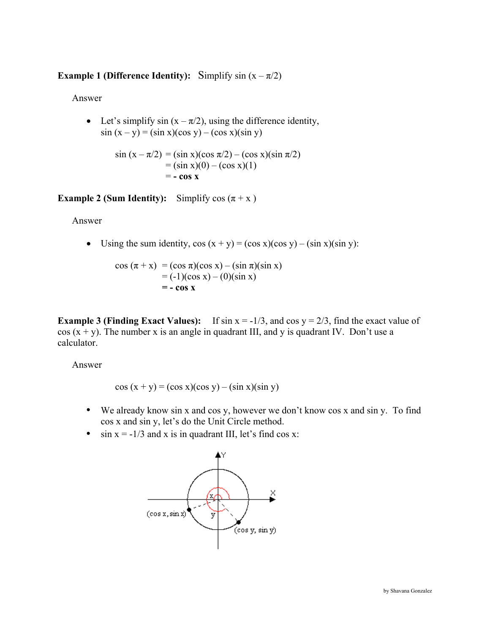# **Example 1 (Difference Identity):** Simplify  $\sin(x - \pi/2)$

Answer

• Let's simplify sin  $(x - \pi/2)$ , using the difference identity,  $sin (x - y) = (sin x)(cos y) - (cos x)(sin y)$ 

$$
\sin (x - \pi/2) = (\sin x)(\cos \pi/2) - (\cos x)(\sin \pi/2)
$$
  
= (\sin x)(0) - (\cos x)(1)  
= - \cos x

**Example 2 (Sum Identity):** Simplify  $\cos(\pi + x)$ 

Answer

• Using the sum identity,  $cos(x + y) = (cos x)(cos y) - (sin x)(sin y)$ :

$$
\cos (\pi + x) = (\cos \pi)(\cos x) - (\sin \pi)(\sin x) \n= (-1)(\cos x) - (0)(\sin x) \n= - \cos x
$$

**Example 3 (Finding Exact Values):** If  $\sin x = -1/3$ , and  $\cos y = 2/3$ , find the exact value of  $\cos(x + y)$ . The number x is an angle in quadrant III, and y is quadrant IV. Don't use a calculator.

Answer

$$
\cos(x + y) = (\cos x)(\cos y) - (\sin x)(\sin y)
$$

- We already know sin x and cos y, however we don't know cos x and sin y. To find cos x and sin y, let's do the Unit Circle method.
- $\sin x = -1/3$  and x is in quadrant III, let's find cos x:

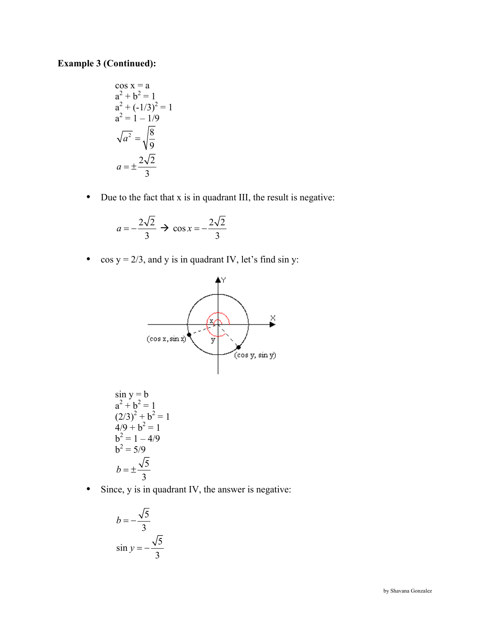#### **Example 3 (Continued):**

$$
\cos x = a
$$
  
\n
$$
a^{2} + b^{2} = 1
$$
  
\n
$$
a^{2} + (-1/3)^{2} = 1
$$
  
\n
$$
a^{2} = 1 - 1/9
$$
  
\n
$$
\sqrt{a^{2}} = \sqrt{\frac{8}{9}}
$$
  
\n
$$
a = \pm \frac{2\sqrt{2}}{3}
$$

• Due to the fact that x is in quadrant III, the result is negative:

$$
a = -\frac{2\sqrt{2}}{3} \rightarrow \cos x = -\frac{2\sqrt{2}}{3}
$$

• cos  $y = 2/3$ , and y is in quadrant IV, let's find sin y:



• Since, y is in quadrant IV, the answer is negative:

$$
b = -\frac{\sqrt{5}}{3}
$$
  

$$
\sin y = -\frac{\sqrt{5}}{3}
$$